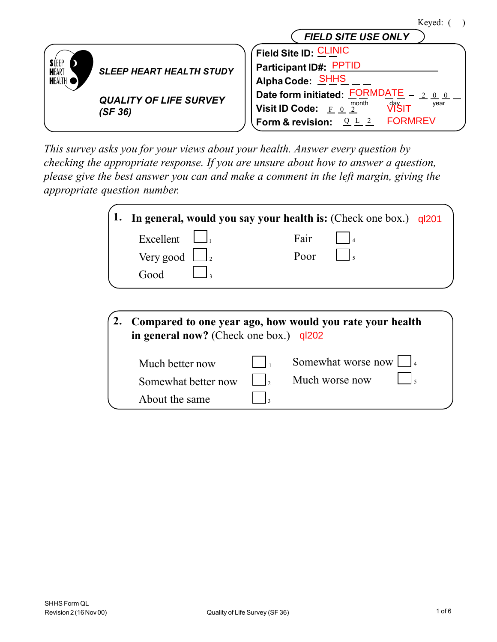|                              |                                 | Keved                                                 |
|------------------------------|---------------------------------|-------------------------------------------------------|
|                              |                                 | <b>FIELD SITE USE ONLY</b>                            |
|                              |                                 | Field Site ID: CLINIC                                 |
| <b>SLEEP</b><br><b>HEART</b> | <b>SLEEP HEART HEALTH STUDY</b> | Participant ID#: PPTID                                |
| <b>HEALTH</b>                |                                 | Alpha Code: SHHS                                      |
|                              | <b>QUALITY OF LIFE SURVEY</b>   | Date form initiated: FORMDATE                         |
|                              | (SF 36)                         | νi̇̃šι⊤<br>month<br>year<br>Visit ID Code: $E = 0, 2$ |
|                              |                                 | <b>FORMREV</b><br>Form & revision:                    |

*This survey asks you for your views about your health. Answer every question by checking the appropriate response. If you are unsure about how to answer a question, please give the best answer you can and make a comment in the left margin, giving the appropriate question number.*

|                               |  |      | 1. In general, would you say your health is: (Check one box.) ql201 |  |
|-------------------------------|--|------|---------------------------------------------------------------------|--|
| Excellent $\Box$              |  | Fair |                                                                     |  |
| Very good $\Box$ <sub>2</sub> |  | Poor |                                                                     |  |
| Good                          |  |      |                                                                     |  |
|                               |  |      |                                                                     |  |

| Compared to one year ago, how would you rate your health<br>in general now? (Check one box.) $q/202$ |  |                           |  |  |  |
|------------------------------------------------------------------------------------------------------|--|---------------------------|--|--|--|
| Much better now                                                                                      |  | Somewhat worse now $\Box$ |  |  |  |
| Somewhat better now                                                                                  |  | Much worse now            |  |  |  |
| About the same                                                                                       |  |                           |  |  |  |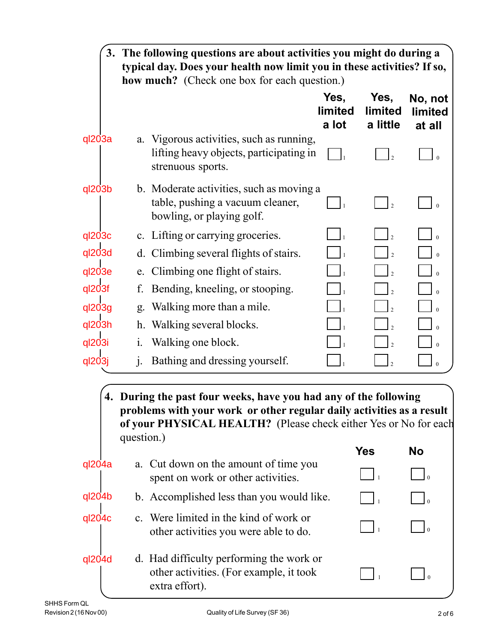|          |             | 3. The following questions are about activities you might do during a<br>typical day. Does your health now limit you in these activities? If so,<br><b>how much?</b> (Check one box for each question.)       |                          |                                    |                                     |
|----------|-------------|---------------------------------------------------------------------------------------------------------------------------------------------------------------------------------------------------------------|--------------------------|------------------------------------|-------------------------------------|
|          |             |                                                                                                                                                                                                               | Yes,<br>limited<br>a lot | Yes,<br><b>limited</b><br>a little | No, not<br><b>limited</b><br>at all |
| $q$ 203a | a.          | Vigorous activities, such as running,<br>lifting heavy objects, participating in<br>strenuous sports.                                                                                                         |                          |                                    |                                     |
| ql203b   |             | b. Moderate activities, such as moving a<br>table, pushing a vacuum cleaner,<br>bowling, or playing golf.                                                                                                     |                          | $\overline{\mathcal{L}}$           |                                     |
| ql203c   |             | c. Lifting or carrying groceries.                                                                                                                                                                             |                          |                                    |                                     |
| ql203d   |             | d. Climbing several flights of stairs.                                                                                                                                                                        |                          |                                    |                                     |
| ql203e   | e.          | Climbing one flight of stairs.                                                                                                                                                                                |                          |                                    |                                     |
| ql203f   | f.          | Bending, kneeling, or stooping.                                                                                                                                                                               |                          |                                    |                                     |
| ql203g   | g.          | Walking more than a mile.                                                                                                                                                                                     |                          |                                    |                                     |
| ql203h   | h.          | Walking several blocks.                                                                                                                                                                                       |                          |                                    |                                     |
| ql203i   | $\dot{1}$ . | Walking one block.                                                                                                                                                                                            |                          |                                    |                                     |
| ql203j   | j.          | Bathing and dressing yourself.                                                                                                                                                                                |                          | $\overline{\mathcal{L}}$           | $\Omega$                            |
|          | question.)  | 4. During the past four weeks, have you had any of the following<br>problems with your work or other regular daily activities as a result<br>of your PHYSICAL HEALTH? (Please check either Yes or No for each |                          | <b>Yes</b>                         | <b>No</b>                           |
| ql204a   |             | a. Cut down on the amount of time you<br>spent on work or other activities.                                                                                                                                   |                          |                                    |                                     |
| ql204b   |             | b. Accomplished less than you would like.                                                                                                                                                                     |                          |                                    |                                     |
| ql204c   |             | c. Were limited in the kind of work or<br>other activities you were able to do.                                                                                                                               |                          | $\mathbf{1}$                       | $\overline{0}$                      |
| ql204d   |             | d. Had difficulty performing the work or<br>other activities. (For example, it took<br>extra effort).                                                                                                         |                          |                                    |                                     |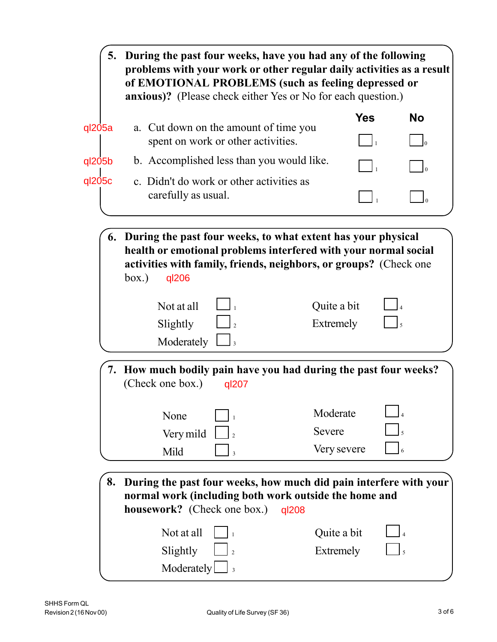|        | 5. During the past four weeks, have you had any of the following<br>problems with your work or other regular daily activities as a result<br>of EMOTIONAL PROBLEMS (such as feeling depressed or<br><b>anxious)?</b> (Please check either Yes or No for each question.) |                                   |               |                   |
|--------|-------------------------------------------------------------------------------------------------------------------------------------------------------------------------------------------------------------------------------------------------------------------------|-----------------------------------|---------------|-------------------|
|        |                                                                                                                                                                                                                                                                         | <b>Yes</b>                        | <b>No</b>     |                   |
| ql205a | a. Cut down on the amount of time you<br>spent on work or other activities.                                                                                                                                                                                             |                                   |               | $\vert$ $\vert$ 0 |
| ql205b | b. Accomplished less than you would like.                                                                                                                                                                                                                               |                                   |               |                   |
| ql205c | c. Didn't do work or other activities as<br>carefully as usual.                                                                                                                                                                                                         |                                   |               |                   |
|        | 6. During the past four weeks, to what extent has your physical<br>health or emotional problems interfered with your normal social<br>activities with family, friends, neighbors, or groups? (Check one<br>box.)<br>ql206                                               |                                   |               |                   |
|        | Not at all<br>Slightly<br>Moderately<br>$\Box$ 3                                                                                                                                                                                                                        | Quite a bit<br>Extremely          |               |                   |
|        | 7. How much bodily pain have you had during the past four weeks?<br>(Check one box.)<br>ql207                                                                                                                                                                           |                                   |               |                   |
|        | None<br>Very mild<br>Mild<br>$\overline{3}$                                                                                                                                                                                                                             | Moderate<br>Severe<br>Very severe |               |                   |
| 8.     | During the past four weeks, how much did pain interfere with your<br>normal work (including both work outside the home and<br><b>housework?</b> (Check one box.)<br>ql208                                                                                               |                                   |               |                   |
|        | Not at all<br>Slightly<br>$\overline{2}$<br>Moderately                                                                                                                                                                                                                  | Quite a bit<br>Extremely          | $\frac{1}{5}$ |                   |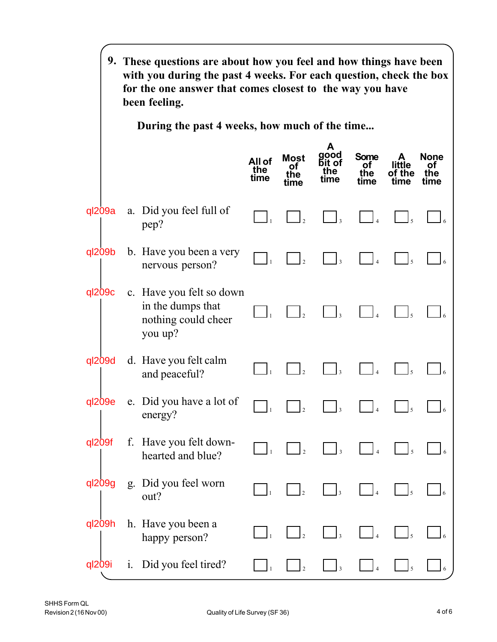|            |       | 9. These questions are about how you feel and how things have been<br>with you during the past 4 weeks. For each question, check the box<br>for the one answer that comes closest to the way you have<br>been feeling. |                       |                           |                                    |                           |                          |                           |
|------------|-------|------------------------------------------------------------------------------------------------------------------------------------------------------------------------------------------------------------------------|-----------------------|---------------------------|------------------------------------|---------------------------|--------------------------|---------------------------|
|            |       | During the past 4 weeks, how much of the time                                                                                                                                                                          |                       |                           |                                    |                           |                          |                           |
|            |       |                                                                                                                                                                                                                        | All of<br>the<br>time | Most<br>Οt<br>the<br>time | A<br>good<br>Бit of<br>the<br>tıme | Some<br>Ωt<br>the<br>time | little<br>of the<br>tıme | None<br>Ωt<br>the<br>time |
| $q$ 209a   |       | a. Did you feel full of<br>pep?                                                                                                                                                                                        |                       |                           | $\vert$ <sub>3</sub>               |                           |                          |                           |
| ql209b     |       | b. Have you been a very<br>nervous person?                                                                                                                                                                             |                       | $\mathbf{z}$              | $\overline{3}$                     |                           | $\mathsf{I}$ 5           |                           |
| ql209c     |       | c. Have you felt so down<br>in the dumps that<br>nothing could cheer<br>you up?                                                                                                                                        |                       |                           | $\mathbf{I}_3$                     |                           | $\mathsf{I}_5$           |                           |
| ql209d     |       | d. Have you felt calm<br>and peaceful?                                                                                                                                                                                 |                       |                           | $\overline{3}$                     |                           |                          |                           |
| $q$ $209e$ |       | e. Did you have a lot of<br>energy?                                                                                                                                                                                    |                       |                           | 3                                  |                           |                          |                           |
| ql209f     |       | f. Have you felt down-<br>hearted and blue?                                                                                                                                                                            |                       | $\mathbf{I}_2$            | $\vert$ 3                          | $\overline{4}$            | $\mathsf{I}$ 5           |                           |
| ql209g     |       | g. Did you feel worn<br>out?                                                                                                                                                                                           |                       | $\mathbf{I}_2$            | $\mathbf{I}_3$                     |                           |                          |                           |
| ql209h     |       | h. Have you been a<br>happy person?                                                                                                                                                                                    |                       | $\mathbf{I}_2$            | $\mathbf{I}_3$                     |                           |                          |                           |
| ql209i     | $i$ . | Did you feel tired?                                                                                                                                                                                                    |                       |                           | $\overline{\mathbf{3}}$            |                           |                          |                           |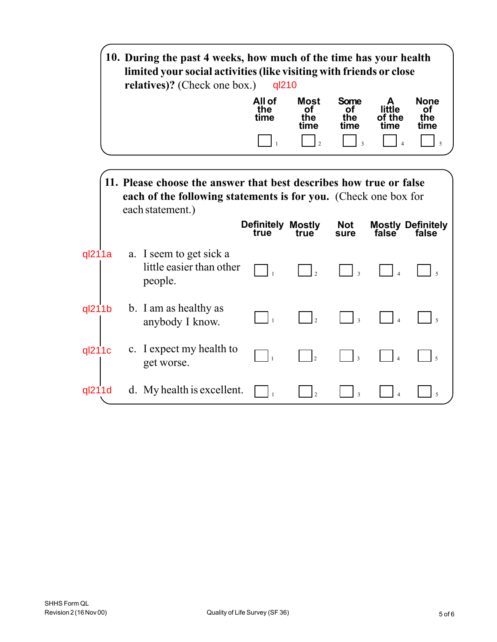|        | 10. During the past 4 weeks, how much of the time has your health<br>limited your social activities (like visiting with friends or close<br>relatives)? (Check one box.) | ql210                            |                                  |                                  |                          |                                   |
|--------|--------------------------------------------------------------------------------------------------------------------------------------------------------------------------|----------------------------------|----------------------------------|----------------------------------|--------------------------|-----------------------------------|
|        |                                                                                                                                                                          | All of<br>the<br>time            | <b>Most</b><br>οf<br>the<br>time | <b>Some</b><br>οf<br>the<br>time | little<br>of the<br>time | <b>None</b><br>ΩŤ<br>the<br>tıme  |
|        |                                                                                                                                                                          |                                  | $\overline{\mathcal{L}}$         | $\overline{\mathbf{3}}$          |                          | 5                                 |
|        | 11. Please choose the answer that best describes how true or false<br>each of the following statements is for you. (Check one box for<br>each statement.)                | <b>Definitely Mostly</b><br>true | true                             | <b>Not</b><br>sure               | false                    | <b>Mostly Definitely</b><br>false |
| ql211a | a. I seem to get sick a<br>little easier than other<br>people.                                                                                                           |                                  |                                  | $\overline{\mathbf{3}}$          |                          |                                   |
| ql211b | b. I am as healthy as<br>anybody I know.                                                                                                                                 | $\vert$ 1                        | $\overline{\phantom{a}}$         | $\overline{3}$                   |                          |                                   |
| ql211c | c. I expect my health to<br>get worse.                                                                                                                                   | $\overline{1}$                   | $\mathsf{L}$                     | $\overline{\mathbf{3}}$          |                          |                                   |
| ql211d | d. My health is excellent.                                                                                                                                               |                                  |                                  | $\overline{\mathbf{3}}$          | $\overline{A}$           | 5                                 |